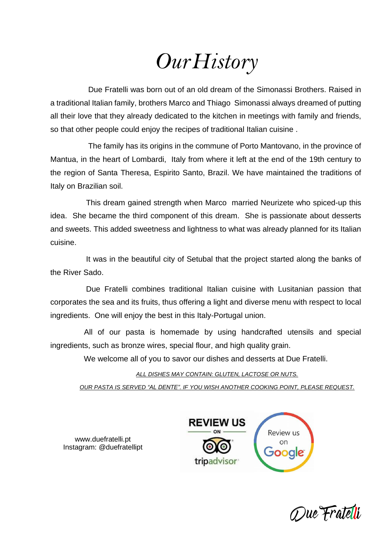# *OurHistory*

 Due Fratelli was born out of an old dream of the Simonassi Brothers. Raised in a traditional Italian family, brothers Marco and Thiago Simonassi always dreamed of putting all their love that they already dedicated to the kitchen in meetings with family and friends, so that other people could enjoy the recipes of traditional Italian cuisine .

 The family has its origins in the commune of Porto Mantovano, in the province of Mantua, in the heart of Lombardi, Italy from where it left at the end of the 19th century to the region of Santa Theresa, Espirito Santo, Brazil. We have maintained the traditions of Italy on Brazilian soil.

 This dream gained strength when Marco married Neurizete who spiced-up this idea. She became the third component of this dream. She is passionate about desserts and sweets. This added sweetness and lightness to what was already planned for its Italian cuisine.

 It was in the beautiful city of Setubal that the project started along the banks of the River Sado.

 Due Fratelli combines traditional Italian cuisine with Lusitanian passion that corporates the sea and its fruits, thus offering a light and diverse menu with respect to local ingredients. One will enjoy the best in this Italy-Portugal union.

 All of our pasta is homemade by using handcrafted utensils and special ingredients, such as bronze wires, special flour, and high quality grain.

We welcome all of you to savor our dishes and desserts at Due Fratelli.

*ALL DISHES MAY CONTAIN: GLUTEN, LACTOSE OR NUTS.*

*OUR PASTA IS SERVED "AL DENTE". IF YOU WISH ANOTHER COOKING POINT, PLEASE REQUEST.*





[www.duefratelli.pt](http://www.duefratelli.pt/) Instagram: @duefratellipt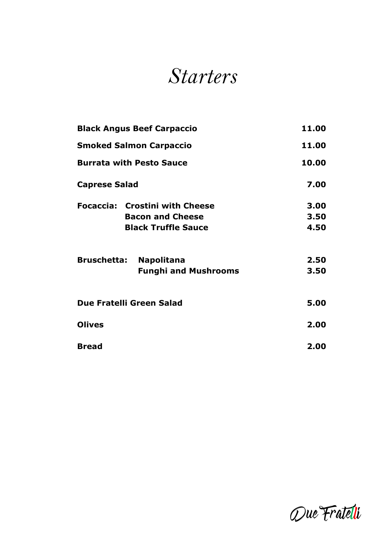## *Starters*

| <b>Black Angus Beef Carpaccio</b><br><b>Smoked Salmon Carpaccio</b><br><b>Burrata with Pesto Sauce</b><br><b>Caprese Salad</b> |                             | 11.00<br>11.00<br>10.00<br>7.00 |  |                                       |      |
|--------------------------------------------------------------------------------------------------------------------------------|-----------------------------|---------------------------------|--|---------------------------------------|------|
|                                                                                                                                |                             |                                 |  | <b>Focaccia: Crostini with Cheese</b> | 3.00 |
|                                                                                                                                |                             |                                 |  | <b>Bacon and Cheese</b>               | 3.50 |
|                                                                                                                                |                             |                                 |  | <b>Black Truffle Sauce</b>            | 4.50 |
| <b>Bruschetta:</b>                                                                                                             | <b>Napolitana</b>           | 2.50                            |  |                                       |      |
|                                                                                                                                | <b>Funghi and Mushrooms</b> | 3.50                            |  |                                       |      |
| Due Fratelli Green Salad                                                                                                       |                             | 5.00                            |  |                                       |      |
| <b>Olives</b>                                                                                                                  |                             | 2.00                            |  |                                       |      |
| <b>Bread</b>                                                                                                                   |                             | 2.00                            |  |                                       |      |

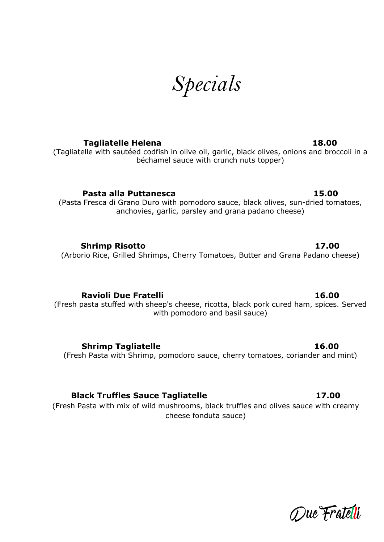*Specials*

**Tagliatelle Helena 18.00**

(Tagliatelle with sautéed codfish in olive oil, garlic, black olives, onions and broccoli in a béchamel sauce with crunch nuts topper)

**Pasta alla Puttanesca 15.00**

(Pasta Fresca di Grano Duro with pomodoro sauce, black olives, sun-dried tomatoes, anchovies, garlic, parsley and grana padano cheese)

**Shrimp Risotto 17.00** (Arborio Rice, Grilled Shrimps, Cherry Tomatoes, Butter and Grana Padano cheese)

**Ravioli Due Fratelli 16.00** (Fresh pasta stuffed with sheep's cheese, ricotta, black pork cured ham, spices. Served with pomodoro and basil sauce)

**Shrimp Tagliatelle 16.00**

(Fresh Pasta with Shrimp, pomodoro sauce, cherry tomatoes, coriander and mint)

**Black Truffles Sauce Tagliatelle 17.00**

(Fresh Pasta with mix of wild mushrooms, black truffles and olives sauce with creamy cheese fonduta sauce)

Due Fratelli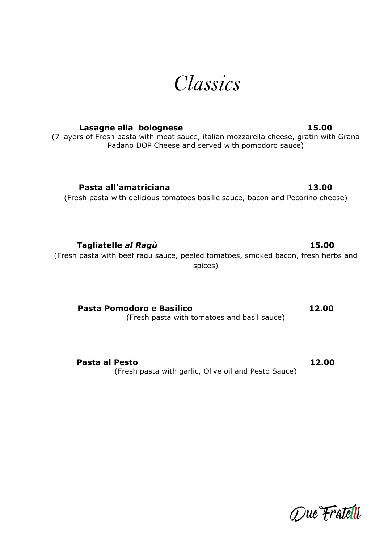# *Classics*

### **Lasagne alla bolognese 15.00**

(7 layers of Fresh pasta with meat sauce, italian mozzarella cheese, gratin with Grana Padano DOP Cheese and served with pomodoro sauce)

**Pasta all'amatriciana 13.00**

(Fresh pasta with delicious tomatoes basilic sauce, bacon and Pecorino cheese)

(Fresh pasta with beef ragu sauce, peeled tomatoes, smoked bacon, fresh herbs and spices)

**Pasta Pomodoro e Basilico 12.00** (Fresh pasta with tomatoes and basil sauce)

**Pasta al Pesto 12.00** (Fresh pasta with garlic, Olive oil and Pesto Sauce)

Due Fratelli

**Tagliatelle** *al Ragù* **15.00**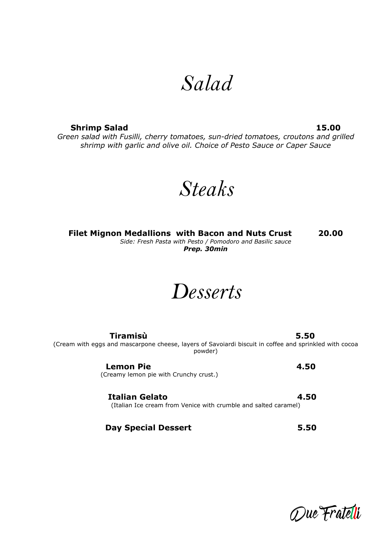## *Salad*

**Shrimp Salad 15.00** *Green salad with Fusilli, cherry tomatoes, sun-dried tomatoes, croutons and grilled shrimp with garlic and olive oil. Choice of Pesto Sauce or Caper Sauce*

*Steaks*

**Filet Mignon Medallions with Bacon and Nuts Crust 20.00** *Side: Fresh Pasta with Pesto / Pomodoro and Basilic sauce Prep. 30min*

*Desserts*

 **Tiramisù 5.50** (Cream with eggs and mascarpone cheese, layers of Savoiardi biscuit in coffee and sprinkled with cocoa powder)

> **Lemon Pie** 4.50 (Creamy lemon pie with Crunchy crust.)

 **Italian Gelato 4.50** (Italian Ice cream from Venice with crumble and salted caramel)

 **Day Special Dessert 5.50**

Due Fratelli